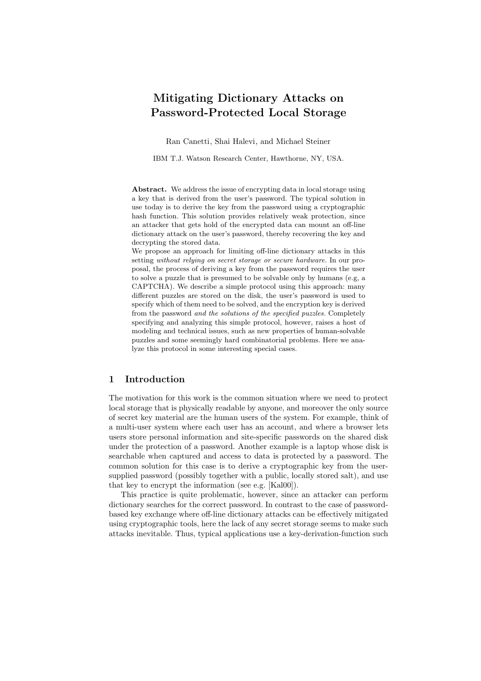# Mitigating Dictionary Attacks on Password-Protected Local Storage

Ran Canetti, Shai Halevi, and Michael Steiner

IBM T.J. Watson Research Center, Hawthorne, NY, USA.

Abstract. We address the issue of encrypting data in local storage using a key that is derived from the user's password. The typical solution in use today is to derive the key from the password using a cryptographic hash function. This solution provides relatively weak protection, since an attacker that gets hold of the encrypted data can mount an off-line dictionary attack on the user's password, thereby recovering the key and decrypting the stored data.

We propose an approach for limiting off-line dictionary attacks in this setting without relying on secret storage or secure hardware. In our proposal, the process of deriving a key from the password requires the user to solve a puzzle that is presumed to be solvable only by humans (e.g, a CAPTCHA). We describe a simple protocol using this approach: many different puzzles are stored on the disk, the user's password is used to specify which of them need to be solved, and the encryption key is derived from the password and the solutions of the specified puzzles. Completely specifying and analyzing this simple protocol, however, raises a host of modeling and technical issues, such as new properties of human-solvable puzzles and some seemingly hard combinatorial problems. Here we analyze this protocol in some interesting special cases.

# 1 Introduction

The motivation for this work is the common situation where we need to protect local storage that is physically readable by anyone, and moreover the only source of secret key material are the human users of the system. For example, think of a multi-user system where each user has an account, and where a browser lets users store personal information and site-specific passwords on the shared disk under the protection of a password. Another example is a laptop whose disk is searchable when captured and access to data is protected by a password. The common solution for this case is to derive a cryptographic key from the usersupplied password (possibly together with a public, locally stored salt), and use that key to encrypt the information (see e.g. [Kal00]).

This practice is quite problematic, however, since an attacker can perform dictionary searches for the correct password. In contrast to the case of passwordbased key exchange where off-line dictionary attacks can be effectively mitigated using cryptographic tools, here the lack of any secret storage seems to make such attacks inevitable. Thus, typical applications use a key-derivation-function such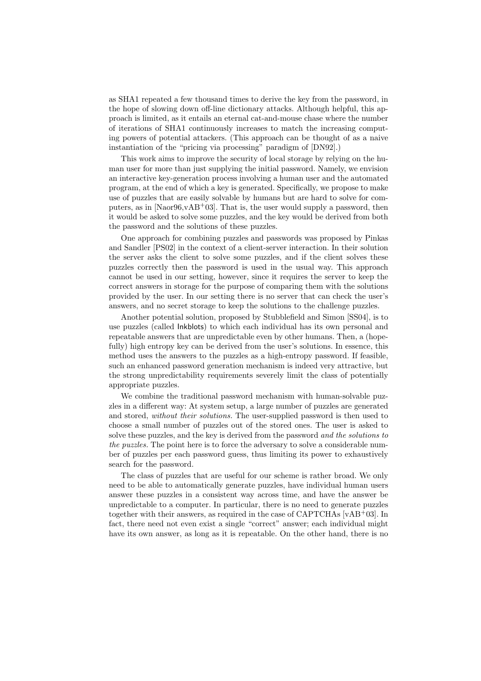as SHA1 repeated a few thousand times to derive the key from the password, in the hope of slowing down off-line dictionary attacks. Although helpful, this approach is limited, as it entails an eternal cat-and-mouse chase where the number of iterations of SHA1 continuously increases to match the increasing computing powers of potential attackers. (This approach can be thought of as a naive instantiation of the "pricing via processing" paradigm of [DN92].)

This work aims to improve the security of local storage by relying on the human user for more than just supplying the initial password. Namely, we envision an interactive key-generation process involving a human user and the automated program, at the end of which a key is generated. Specifically, we propose to make use of puzzles that are easily solvable by humans but are hard to solve for computers, as in [Naor $96$ ,  $vAB+03$ ]. That is, the user would supply a password, then it would be asked to solve some puzzles, and the key would be derived from both the password and the solutions of these puzzles.

One approach for combining puzzles and passwords was proposed by Pinkas and Sandler [PS02] in the context of a client-server interaction. In their solution the server asks the client to solve some puzzles, and if the client solves these puzzles correctly then the password is used in the usual way. This approach cannot be used in our setting, however, since it requires the server to keep the correct answers in storage for the purpose of comparing them with the solutions provided by the user. In our setting there is no server that can check the user's answers, and no secret storage to keep the solutions to the challenge puzzles.

Another potential solution, proposed by Stubblefield and Simon [SS04], is to use puzzles (called Inkblots) to which each individual has its own personal and repeatable answers that are unpredictable even by other humans. Then, a (hopefully) high entropy key can be derived from the user's solutions. In essence, this method uses the answers to the puzzles as a high-entropy password. If feasible, such an enhanced password generation mechanism is indeed very attractive, but the strong unpredictability requirements severely limit the class of potentially appropriate puzzles.

We combine the traditional password mechanism with human-solvable puzzles in a different way: At system setup, a large number of puzzles are generated and stored, without their solutions. The user-supplied password is then used to choose a small number of puzzles out of the stored ones. The user is asked to solve these puzzles, and the key is derived from the password and the solutions to the puzzles. The point here is to force the adversary to solve a considerable number of puzzles per each password guess, thus limiting its power to exhaustively search for the password.

The class of puzzles that are useful for our scheme is rather broad. We only need to be able to automatically generate puzzles, have individual human users answer these puzzles in a consistent way across time, and have the answer be unpredictable to a computer. In particular, there is no need to generate puzzles together with their answers, as required in the case of CAPTCHAs [vAB<sup>+</sup>03]. In fact, there need not even exist a single "correct" answer; each individual might have its own answer, as long as it is repeatable. On the other hand, there is no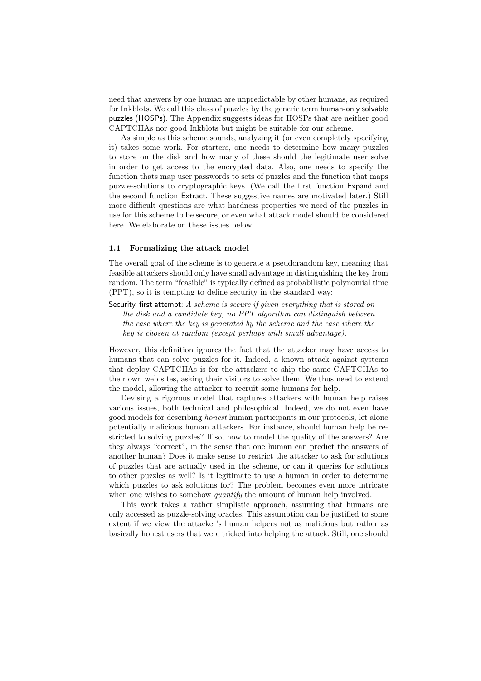need that answers by one human are unpredictable by other humans, as required for Inkblots. We call this class of puzzles by the generic term human-only solvable puzzles (HOSPs). The Appendix suggests ideas for HOSPs that are neither good CAPTCHAs nor good Inkblots but might be suitable for our scheme.

As simple as this scheme sounds, analyzing it (or even completely specifying it) takes some work. For starters, one needs to determine how many puzzles to store on the disk and how many of these should the legitimate user solve in order to get access to the encrypted data. Also, one needs to specify the function thats map user passwords to sets of puzzles and the function that maps puzzle-solutions to cryptographic keys. (We call the first function Expand and the second function Extract. These suggestive names are motivated later.) Still more difficult questions are what hardness properties we need of the puzzles in use for this scheme to be secure, or even what attack model should be considered here. We elaborate on these issues below.

#### 1.1 Formalizing the attack model

The overall goal of the scheme is to generate a pseudorandom key, meaning that feasible attackers should only have small advantage in distinguishing the key from random. The term "feasible" is typically defined as probabilistic polynomial time (PPT), so it is tempting to define security in the standard way:

Security, first attempt: A scheme is secure if given everything that is stored on the disk and a candidate key, no PPT algorithm can distinguish between the case where the key is generated by the scheme and the case where the key is chosen at random (except perhaps with small advantage).

However, this definition ignores the fact that the attacker may have access to humans that can solve puzzles for it. Indeed, a known attack against systems that deploy CAPTCHAs is for the attackers to ship the same CAPTCHAs to their own web sites, asking their visitors to solve them. We thus need to extend the model, allowing the attacker to recruit some humans for help.

Devising a rigorous model that captures attackers with human help raises various issues, both technical and philosophical. Indeed, we do not even have good models for describing honest human participants in our protocols, let alone potentially malicious human attackers. For instance, should human help be restricted to solving puzzles? If so, how to model the quality of the answers? Are they always "correct", in the sense that one human can predict the answers of another human? Does it make sense to restrict the attacker to ask for solutions of puzzles that are actually used in the scheme, or can it queries for solutions to other puzzles as well? Is it legitimate to use a human in order to determine which puzzles to ask solutions for? The problem becomes even more intricate when one wishes to somehow *quantify* the amount of human help involved.

This work takes a rather simplistic approach, assuming that humans are only accessed as puzzle-solving oracles. This assumption can be justified to some extent if we view the attacker's human helpers not as malicious but rather as basically honest users that were tricked into helping the attack. Still, one should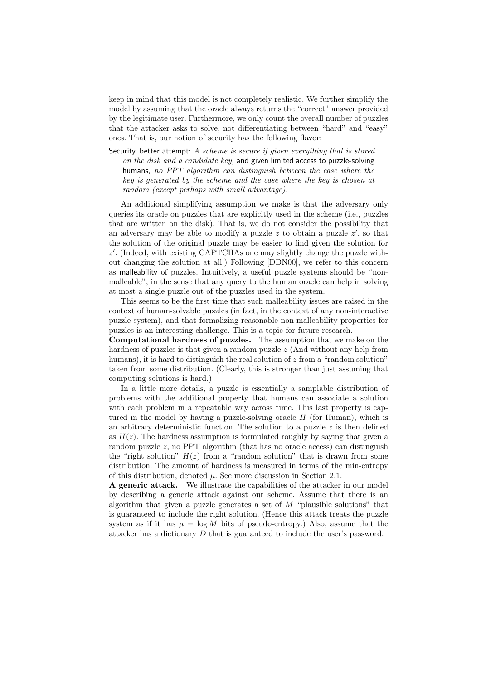keep in mind that this model is not completely realistic. We further simplify the model by assuming that the oracle always returns the "correct" answer provided by the legitimate user. Furthermore, we only count the overall number of puzzles that the attacker asks to solve, not differentiating between "hard" and "easy" ones. That is, our notion of security has the following flavor:

Security, better attempt: A scheme is secure if given everything that is stored on the disk and a candidate key, and given limited access to puzzle-solving humans, no PPT algorithm can distinguish between the case where the key is generated by the scheme and the case where the key is chosen at random (except perhaps with small advantage).

An additional simplifying assumption we make is that the adversary only queries its oracle on puzzles that are explicitly used in the scheme (i.e., puzzles that are written on the disk). That is, we do not consider the possibility that an adversary may be able to modify a puzzle  $z$  to obtain a puzzle  $z'$ , so that the solution of the original puzzle may be easier to find given the solution for z'. (Indeed, with existing CAPTCHAs one may slightly change the puzzle without changing the solution at all.) Following [DDN00], we refer to this concern as malleability of puzzles. Intuitively, a useful puzzle systems should be "nonmalleable", in the sense that any query to the human oracle can help in solving at most a single puzzle out of the puzzles used in the system.

This seems to be the first time that such malleability issues are raised in the context of human-solvable puzzles (in fact, in the context of any non-interactive puzzle system), and that formalizing reasonable non-malleability properties for puzzles is an interesting challenge. This is a topic for future research.

Computational hardness of puzzles. The assumption that we make on the hardness of puzzles is that given a random puzzle z (And without any help from humans), it is hard to distinguish the real solution of  $z$  from a "random solution" taken from some distribution. (Clearly, this is stronger than just assuming that computing solutions is hard.)

In a little more details, a puzzle is essentially a samplable distribution of problems with the additional property that humans can associate a solution with each problem in a repeatable way across time. This last property is captured in the model by having a puzzle-solving oracle  $H$  (for Human), which is an arbitrary deterministic function. The solution to a puzzle  $z$  is then defined as  $H(z)$ . The hardness assumption is formulated roughly by saying that given a random puzzle  $z$ , no PPT algorithm (that has no oracle access) can distinguish the "right solution"  $H(z)$  from a "random solution" that is drawn from some distribution. The amount of hardness is measured in terms of the min-entropy of this distribution, denoted  $\mu$ . See more discussion in Section 2.1.

A generic attack. We illustrate the capabilities of the attacker in our model by describing a generic attack against our scheme. Assume that there is an algorithm that given a puzzle generates a set of  $M$  "plausible solutions" that is guaranteed to include the right solution. (Hence this attack treats the puzzle system as if it has  $\mu = \log M$  bits of pseudo-entropy.) Also, assume that the attacker has a dictionary D that is guaranteed to include the user's password.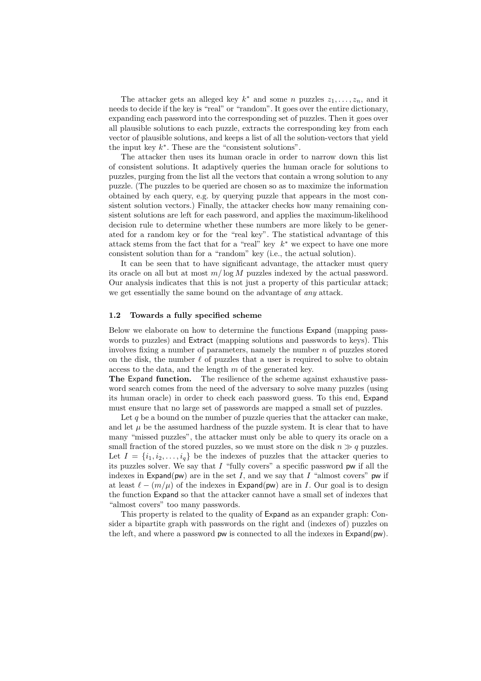The attacker gets an alleged key  $k^*$  and some n puzzles  $z_1, \ldots, z_n$ , and it needs to decide if the key is "real" or "random". It goes over the entire dictionary, expanding each password into the corresponding set of puzzles. Then it goes over all plausible solutions to each puzzle, extracts the corresponding key from each vector of plausible solutions, and keeps a list of all the solution-vectors that yield the input key  $k^*$ . These are the "consistent solutions".

The attacker then uses its human oracle in order to narrow down this list of consistent solutions. It adaptively queries the human oracle for solutions to puzzles, purging from the list all the vectors that contain a wrong solution to any puzzle. (The puzzles to be queried are chosen so as to maximize the information obtained by each query, e.g. by querying puzzle that appears in the most consistent solution vectors.) Finally, the attacker checks how many remaining consistent solutions are left for each password, and applies the maximum-likelihood decision rule to determine whether these numbers are more likely to be generated for a random key or for the "real key". The statistical advantage of this attack stems from the fact that for a "real" key  $k^*$  we expect to have one more consistent solution than for a "random" key (i.e., the actual solution).

It can be seen that to have significant advantage, the attacker must query its oracle on all but at most  $m/\log M$  puzzles indexed by the actual password. Our analysis indicates that this is not just a property of this particular attack; we get essentially the same bound on the advantage of any attack.

#### 1.2 Towards a fully specified scheme

Below we elaborate on how to determine the functions Expand (mapping passwords to puzzles) and Extract (mapping solutions and passwords to keys). This involves fixing a number of parameters, namely the number  $n$  of puzzles stored on the disk, the number  $\ell$  of puzzles that a user is required to solve to obtain access to the data, and the length m of the generated key.

The Expand function. The resilience of the scheme against exhaustive password search comes from the need of the adversary to solve many puzzles (using its human oracle) in order to check each password guess. To this end, Expand must ensure that no large set of passwords are mapped a small set of puzzles.

Let q be a bound on the number of puzzle queries that the attacker can make, and let  $\mu$  be the assumed hardness of the puzzle system. It is clear that to have many "missed puzzles", the attacker must only be able to query its oracle on a small fraction of the stored puzzles, so we must store on the disk  $n \gg q$  puzzles. Let  $I = \{i_1, i_2, \ldots, i_q\}$  be the indexes of puzzles that the attacker queries to its puzzles solver. We say that  $I$  "fully covers" a specific password pw if all the indexes in Expand(pw) are in the set I, and we say that I "almost covers" pw if at least  $\ell - (m/\mu)$  of the indexes in Expand(pw) are in I. Our goal is to design the function Expand so that the attacker cannot have a small set of indexes that "almost covers" too many passwords.

This property is related to the quality of Expand as an expander graph: Consider a bipartite graph with passwords on the right and (indexes of) puzzles on the left, and where a password pw is connected to all the indexes in Expand(pw).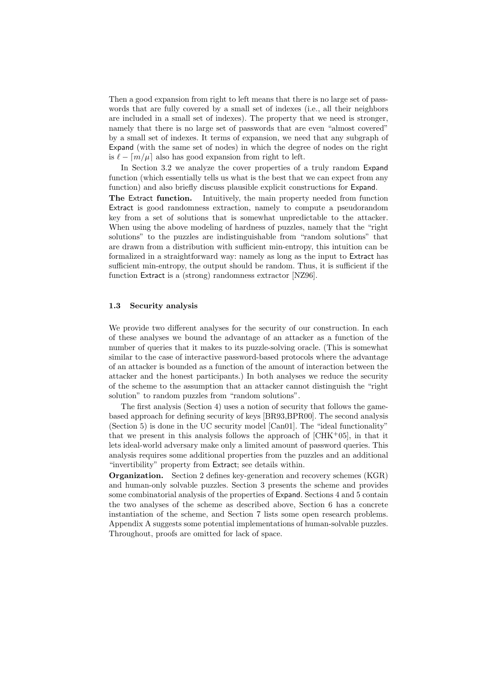Then a good expansion from right to left means that there is no large set of passwords that are fully covered by a small set of indexes (i.e., all their neighbors are included in a small set of indexes). The property that we need is stronger, namely that there is no large set of passwords that are even "almost covered" by a small set of indexes. It terms of expansion, we need that any subgraph of Expand (with the same set of nodes) in which the degree of nodes on the right is  $\ell - \lfloor m/\mu \rfloor$  also has good expansion from right to left.

In Section 3.2 we analyze the cover properties of a truly random Expand function (which essentially tells us what is the best that we can expect from any function) and also briefly discuss plausible explicit constructions for Expand.

The Extract function. Intuitively, the main property needed from function Extract is good randomness extraction, namely to compute a pseudorandom key from a set of solutions that is somewhat unpredictable to the attacker. When using the above modeling of hardness of puzzles, namely that the "right solutions" to the puzzles are indistinguishable from "random solutions" that are drawn from a distribution with sufficient min-entropy, this intuition can be formalized in a straightforward way: namely as long as the input to Extract has sufficient min-entropy, the output should be random. Thus, it is sufficient if the function Extract is a (strong) randomness extractor [NZ96].

### 1.3 Security analysis

We provide two different analyses for the security of our construction. In each of these analyses we bound the advantage of an attacker as a function of the number of queries that it makes to its puzzle-solving oracle. (This is somewhat similar to the case of interactive password-based protocols where the advantage of an attacker is bounded as a function of the amount of interaction between the attacker and the honest participants.) In both analyses we reduce the security of the scheme to the assumption that an attacker cannot distinguish the "right solution" to random puzzles from "random solutions".

The first analysis (Section 4) uses a notion of security that follows the gamebased approach for defining security of keys [BR93,BPR00]. The second analysis (Section 5) is done in the UC security model [Can01]. The "ideal functionality" that we present in this analysis follows the approach of  $\rm [CHK^+05]$ , in that it lets ideal-world adversary make only a limited amount of password queries. This analysis requires some additional properties from the puzzles and an additional "invertibility" property from Extract; see details within.

Organization. Section 2 defines key-generation and recovery schemes (KGR) and human-only solvable puzzles. Section 3 presents the scheme and provides some combinatorial analysis of the properties of Expand. Sections 4 and 5 contain the two analyses of the scheme as described above, Section 6 has a concrete instantiation of the scheme, and Section 7 lists some open research problems. Appendix A suggests some potential implementations of human-solvable puzzles. Throughout, proofs are omitted for lack of space.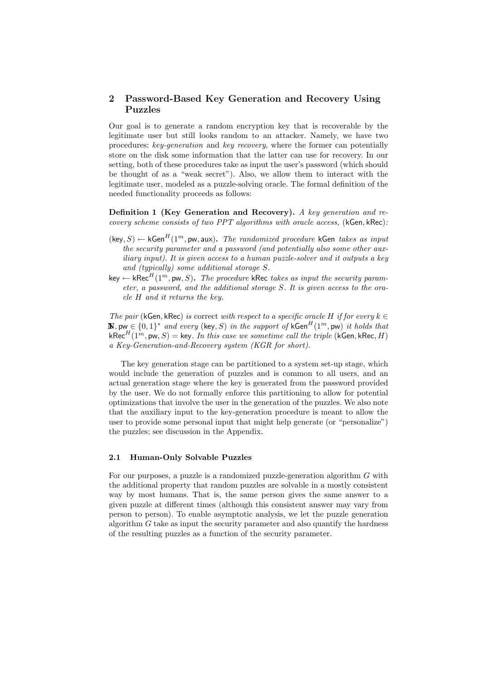# 2 Password-Based Key Generation and Recovery Using Puzzles

Our goal is to generate a random encryption key that is recoverable by the legitimate user but still looks random to an attacker. Namely, we have two procedures: key-generation and key recovery, where the former can potentially store on the disk some information that the latter can use for recovery. In our setting, both of these procedures take as input the user's password (which should be thought of as a "weak secret"). Also, we allow them to interact with the legitimate user, modeled as a puzzle-solving oracle. The formal definition of the needed functionality proceeds as follows:

Definition 1 (Key Generation and Recovery). A key generation and recovery scheme consists of two PPT algorithms with oracle access, (kGen, kRec):

- $(\text{kev}, S) \leftarrow \text{kGen}^H(1^m, \text{pw}, \text{aux})$ . The randomized procedure kGen takes as input the security parameter and a password (and potentially also some other auxiliary input). It is given access to a human puzzle-solver and it outputs a key and (typically) some additional storage S.
- key  $\leftarrow$  kRec<sup>H</sup>(1<sup>m</sup>, pw, S). The procedure kRec takes as input the security parameter, a password, and the additional storage S. It is given access to the oracle H and it returns the key.

The pair (kGen, kRec) is correct with respect to a specific oracle H if for every  $k \in$ **IN**, pw  $\in \{0,1\}^*$  and every (key, S) in the support of kGen<sup>H</sup>(1<sup>m</sup>, pw) it holds that  $kRec^{H}(1^{m}, pw, S) = key$ . In this case we sometime call the triple (kGen, kRec, H) a Key-Generation-and-Recovery system (KGR for short).

The key generation stage can be partitioned to a system set-up stage, which would include the generation of puzzles and is common to all users, and an actual generation stage where the key is generated from the password provided by the user. We do not formally enforce this partitioning to allow for potential optimizations that involve the user in the generation of the puzzles. We also note that the auxiliary input to the key-generation procedure is meant to allow the user to provide some personal input that might help generate (or "personalize") the puzzles; see discussion in the Appendix.

### 2.1 Human-Only Solvable Puzzles

For our purposes, a puzzle is a randomized puzzle-generation algorithm G with the additional property that random puzzles are solvable in a mostly consistent way by most humans. That is, the same person gives the same answer to a given puzzle at different times (although this consistent answer may vary from person to person). To enable asymptotic analysis, we let the puzzle generation algorithm  $G$  take as input the security parameter and also quantify the hardness of the resulting puzzles as a function of the security parameter.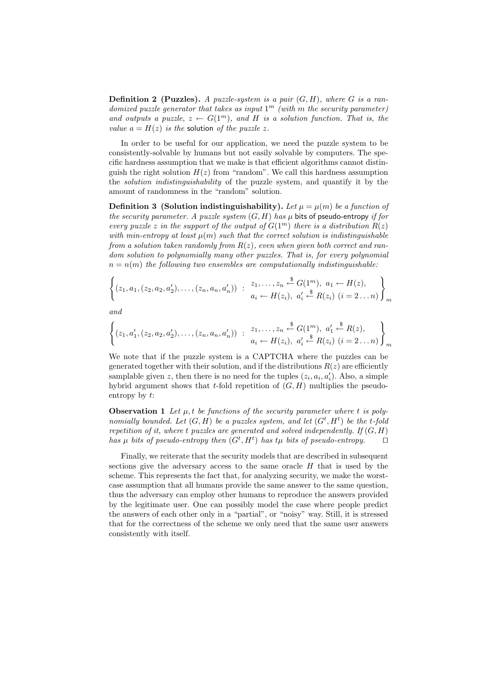**Definition 2 (Puzzles).** A puzzle-system is a pair  $(G, H)$ , where G is a randomized puzzle generator that takes as input  $1<sup>m</sup>$  (with m the security parameter) and outputs a puzzle,  $z \leftarrow G(1^m)$ , and H is a solution function. That is, the value  $a = H(z)$  is the solution of the puzzle z.

In order to be useful for our application, we need the puzzle system to be consistently-solvable by humans but not easily solvable by computers. The specific hardness assumption that we make is that efficient algorithms cannot distinguish the right solution  $H(z)$  from "random". We call this hardness assumption the solution indistinguishability of the puzzle system, and quantify it by the amount of randomness in the "random" solution.

**Definition 3** (Solution indistinguishability). Let  $\mu = \mu(m)$  be a function of the security parameter. A puzzle system  $(G, H)$  has  $\mu$  bits of pseudo-entropy if for every puzzle z in the support of the output of  $G(1^m)$  there is a distribution  $R(z)$ with min-entropy at least  $\mu(m)$  such that the correct solution is indistinguishable from a solution taken randomly from  $R(z)$ , even when given both correct and random solution to polynomially many other puzzles. That is, for every polynomial  $n = n(m)$  the following two ensembles are computationally indistinguishable:

$$
\left\{ (z_1, a_1, (z_2, a_2, a'_2), \ldots, (z_n, a_n, a'_n)) : \begin{array}{l} z_1, \ldots, z_n \stackrel{\$}{\leftarrow} G(1^m), \ a_1 \leftarrow H(z), \\ a_i \leftarrow H(z_i), \ a'_i \stackrel{\$}{\leftarrow} R(z_i) \ (i = 2 \ldots n) \end{array} \right\}_m \right\}
$$

and

$$
\left\{ (z_1, a'_1, (z_2, a_2, a'_2), \ldots, (z_n, a_n, a'_n)) : \begin{array}{l} z_1, \ldots, z_n \stackrel{\$}{\leftarrow} G(1^m), \ a'_1 \stackrel{\$}{\leftarrow} R(z), \\ a_i \leftarrow H(z_i), \ a'_i \stackrel{\$}{\leftarrow} R(z_i) \ (i = 2 \ldots n) \end{array} \right\}_m \right\}
$$

We note that if the puzzle system is a CAPTCHA where the puzzles can be generated together with their solution, and if the distributions  $R(z)$  are efficiently samplable given z, then there is no need for the tuples  $(z_i, a_i, a'_i)$ . Also, a simple hybrid argument shows that t-fold repetition of  $(G, H)$  multiplies the pseudoentropy by t:

**Observation 1** Let  $\mu$ , t be functions of the security parameter where t is polynomially bounded. Let  $(G, H)$  be a puzzles system, and let  $(G<sup>t</sup>, H<sup>t</sup>)$  be the t-fold repetition of it, where t puzzles are generated and solved independently. If  $(G, H)$ has  $\mu$  bits of pseudo-entropy then  $(G^t, H^t)$  has t $\mu$  bits of pseudo-entropy.  $\square$ 

Finally, we reiterate that the security models that are described in subsequent sections give the adversary access to the same oracle  $H$  that is used by the scheme. This represents the fact that, for analyzing security, we make the worstcase assumption that all humans provide the same answer to the same question, thus the adversary can employ other humans to reproduce the answers provided by the legitimate user. One can possibly model the case where people predict the answers of each other only in a "partial", or "noisy" way. Still, it is stressed that for the correctness of the scheme we only need that the same user answers consistently with itself.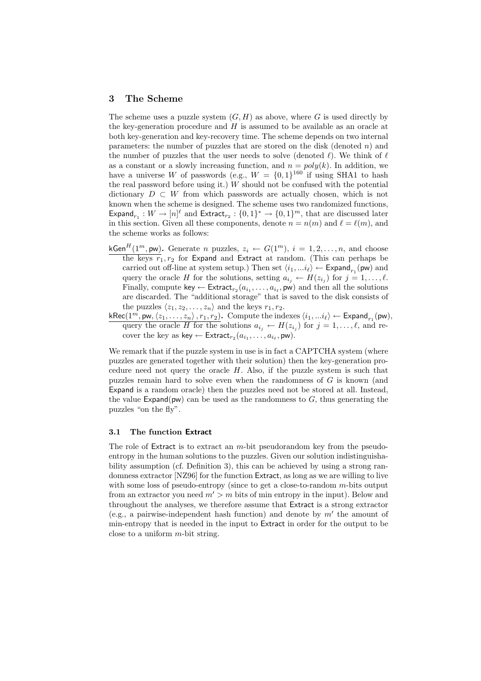## 3 The Scheme

The scheme uses a puzzle system  $(G, H)$  as above, where G is used directly by the key-generation procedure and  $H$  is assumed to be available as an oracle at both key-generation and key-recovery time. The scheme depends on two internal parameters: the number of puzzles that are stored on the disk (denoted  $n$ ) and the number of puzzles that the user needs to solve (denoted  $\ell$ ). We think of  $\ell$ as a constant or a slowly increasing function, and  $n = poly(k)$ . In addition, we have a universe W of passwords (e.g.,  $W = \{0,1\}^{160}$  if using SHA1 to hash the real password before using it.)  $W$  should not be confused with the potential dictionary  $D \subset W$  from which passwords are actually chosen, which is not known when the scheme is designed. The scheme uses two randomized functions,  $\mathsf{Expand}_{r_1}: W \to [n]^{\ell}$  and  $\mathsf{Extract}_{r_2}:\{0,1\}^{*} \to \{0,1\}^{m},$  that are discussed later in this section. Given all these components, denote  $n = n(m)$  and  $\ell = \ell(m)$ , and the scheme works as follows:

- kGen<sup>H</sup>(1<sup>m</sup>, pw). Generate n puzzles,  $z_i \leftarrow G(1^m)$ ,  $i = 1, 2, ..., n$ , and choose the keys  $r_1, r_2$  for Expand and Extract at random. (This can perhaps be carried out off-line at system setup.) Then set  $\langle i_1, ... i_\ell \rangle \leftarrow \textsf{Expand}_{r_1}(\textsf{pw})$  and query the oracle H for the solutions, setting  $a_{i_j} \leftarrow H(z_{i_j})$  for  $j = 1, \ldots, \ell$ . Finally, compute  $\text{key} \leftarrow \text{Extract}_{r_2}(a_{i_1}, \ldots, a_{i_\ell}, \text{pw})$  and then all the solutions are discarded. The "additional storage" that is saved to the disk consists of the puzzles  $\langle z_1, z_2, \ldots, z_n \rangle$  and the keys  $r_1, r_2$ .
- $\mathsf{kRec}(1^m, \mathsf{pw}, \langle z_1, \ldots, z_n \rangle, r_1, r_2)$ . Compute the indexes  $\langle i_1, ... i_\ell \rangle \leftarrow \mathsf{Expand}_{r_1}(\mathsf{pw}),$ query the oracle H for the solutions  $a_{i_j} \leftarrow H(z_{i_j})$  for  $j = 1, \ldots, \ell$ , and recover the key as  $\text{key} \leftarrow \text{Extract}_{r_2}(a_{i_1}, \ldots, a_{i_\ell}, \text{pw}).$

We remark that if the puzzle system in use is in fact a CAPTCHA system (where puzzles are generated together with their solution) then the key-generation procedure need not query the oracle  $H$ . Also, if the puzzle system is such that puzzles remain hard to solve even when the randomness of G is known (and Expand is a random oracle) then the puzzles need not be stored at all. Instead, the value  $\mathsf{Expand}(\mathsf{pw})$  can be used as the randomness to G, thus generating the puzzles "on the fly".

#### 3.1 The function Extract

The role of Extract is to extract an  $m$ -bit pseudorandom key from the pseudoentropy in the human solutions to the puzzles. Given our solution indistinguishability assumption (cf. Definition 3), this can be achieved by using a strong randomness extractor [NZ96] for the function Extract, as long as we are willing to live with some loss of pseudo-entropy (since to get a close-to-random  $m$ -bits output from an extractor you need  $m' > m$  bits of min entropy in the input). Below and throughout the analyses, we therefore assume that Extract is a strong extractor (e.g., a pairwise-independent hash function) and denote by  $m'$  the amount of min-entropy that is needed in the input to Extract in order for the output to be close to a uniform m-bit string.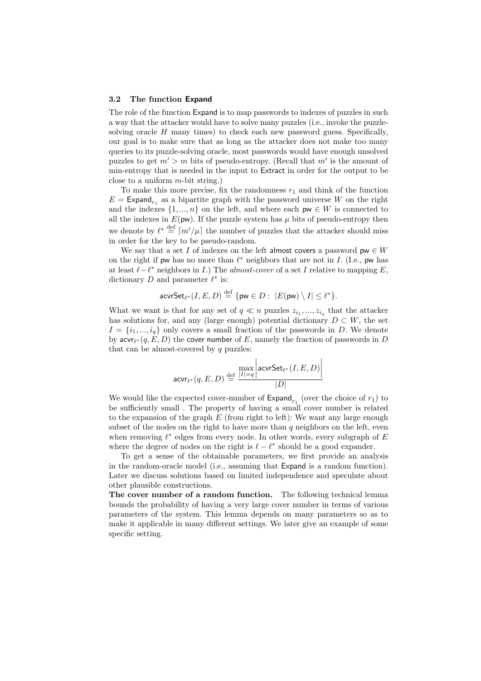#### 3.2 The function Expand

The role of the function Expand is to map passwords to indexes of puzzles in such a way that the attacker would have to solve many puzzles (i.e., invoke the puzzlesolving oracle  $H$  many times) to check each new password guess. Specifically, our goal is to make sure that as long as the attacker does not make too many queries to its puzzle-solving oracle, most passwords would have enough unsolved puzzles to get  $m' > m$  bits of pseudo-entropy. (Recall that m' is the amount of min-entropy that is needed in the input to Extract in order for the output to be close to a uniform  $m$ -bit string.)

To make this more precise, fix the randomness  $r_1$  and think of the function  $E =$  Expand<sub>r<sub>1</sub></sub> as a bipartite graph with the password universe W on the right and the indexes  $\{1,...,n\}$  on the left, and where each  $\mathsf{pw} \in W$  is connected to all the indexes in  $E(pw)$ . If the puzzle system has  $\mu$  bits of pseudo-entropy then we denote by  $\ell^* \stackrel{\text{def}}{=} \lceil m'/\mu \rceil$  the number of puzzles that the attacker should miss in order for the key to be pseudo-random.

We say that a set I of indexes on the left almost covers a password  $pw \in W$ on the right if pw has no more than  $\ell^*$  neighbors that are not in I. (I.e., pw has at least  $\ell - \ell^*$  neighbors in I.) The almost-cover of a set I relative to mapping E, dictionary  $D$  and parameter  $\ell^*$  is:

$$
\mathsf{acvrSet}_{\ell^*}(I,E,D) \stackrel{\rm def}{=} \{\mathsf{pw} \in D: \ |E(\mathsf{pw}) \setminus I| \leq \ell^* \}.
$$

What we want is that for any set of  $q \ll n$  puzzles  $z_{i_1},..., z_{i_q}$  that the attacker has solutions for, and any (large enough) potential dictionary  $D \subset W$ , the set  $I = \{i_1, ..., i_q\}$  only covers a small fraction of the passwords in D. We denote by acvr $_{\ell^*}(q, E, D)$  the cover number of  $E,$  namely the fraction of passwords in  $D$ that can be almost-covered by  $q$  puzzles:

$$
\left. \begin{array}{l} \max\limits_{\mathbf{z} \in \mathcal{X}} \left| \mathsf{acvrSet}_{\ell^*}(I,E,D) \right| \\ \text{acvr}_{\ell^*}(q,E,D) \stackrel{\text{def}}{=} \frac{|I|=q}{|D|} \end{array} \right|
$$

We would like the expected cover-number of  $\text{Expand}_{r_1}$  (over the choice of  $r_1$ ) to be sufficiently small . The property of having a small cover number is related to the expansion of the graph  $E$  (from right to left): We want any large enough subset of the nodes on the right to have more than  $q$  neighbors on the left, even when removing  $\ell^*$  edges from every node. In other words, every subgraph of  $E$ where the degree of nodes on the right is  $\ell - \ell^*$  should be a good expander.

To get a sense of the obtainable parameters, we first provide an analysis in the random-oracle model (i.e., assuming that Expand is a random function). Later we discuss solutions based on limited independence and speculate about other plausible constructions.

The cover number of a random function. The following technical lemma bounds the probability of having a very large cover number in terms of various parameters of the system. This lemma depends on many parameters so as to make it applicable in many different settings. We later give an example of some specific setting.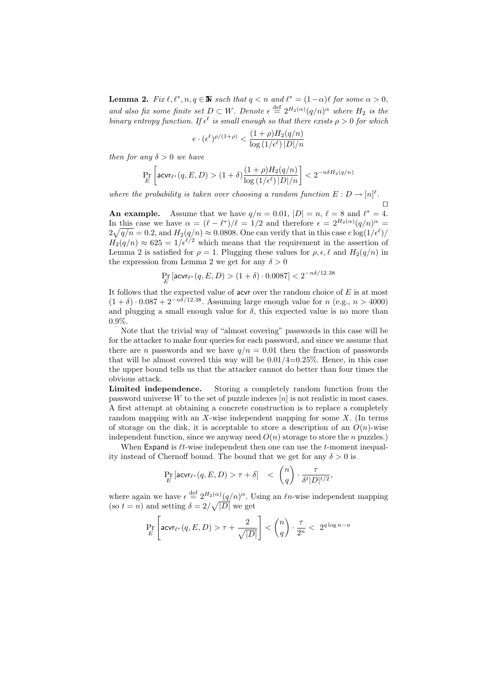**Lemma 2.** Fix  $\ell, \ell^*, n, q \in \mathbb{N}$  such that  $q < n$  and  $\ell^* = (1 - \alpha)\ell$  for some  $\alpha > 0$ , and also fix some finite set  $D \subset W$ . Denote  $\epsilon \stackrel{\text{def}}{=} 2^{H_2(\alpha)}(q/n)^{\alpha}$  where  $H_2$  is the binary entropy function. If  $\epsilon^{\ell}$  is small enough so that there exists  $\rho > 0$  for which

$$
e \cdot (\epsilon^{\ell})^{\rho/(1+\rho)} < \frac{(1+\rho)H_2(q/n)}{\log\left(1/\epsilon^{\ell}\right)|D|/n}
$$

then for any  $\delta > 0$  we have

$$
\Pr_E \left[ \text{acvr}_{\ell^*}(q, E, D) > (1 + \delta) \frac{(1 + \rho)H_2(q/n)}{\log(1/\epsilon^{\ell})|D|/n} \right] < 2^{-n\delta H_2(q/n)}
$$

where the probability is taken over choosing a random function  $E: D \to [n]^{\ell}$ .

 $\Box$ An example. Assume that we have  $q/n = 0.01$ ,  $|D| = n$ ,  $\ell = 8$  and  $\ell^* = 4$ . In this case we have  $\alpha = (\ell - \ell^*)/\ell = 1/2$  and therefore  $\epsilon = 2^{H_2(\alpha)}(q/n)^{\alpha} =$  $2\sqrt{q/n} = 0.2$ , and  $H_2(q/n) \approx 0.0808$ . One can verify that in this case  $e \log(1/\epsilon^{\ell})/2$  $H_2(q/n) \approx 625 = 1/\epsilon^{\ell/2}$  which means that the requirement in the assertion of Lemma 2 is satisfied for  $\rho = 1$ . Plugging these values for  $\rho, \epsilon, \ell$  and  $H_2(q/n)$  in the expression from Lemma 2 we get for any  $\delta > 0$ 

$$
\Pr_E \left[ \mathsf{acvr}_{\ell^*}(q,E,D) > (1+\delta) \cdot 0.0087 \right] < 2^{-n\delta/12.38}
$$

It follows that the expected value of  $a$ cvr over the random choice of  $E$  is at most  $(1 + \delta) \cdot 0.087 + 2^{-n\delta/12.38}$ . Assuming large enough value for  $n$  (e.g.,  $n > 4000$ ) and plugging a small enough value for  $\delta$ , this expected value is no more than 0.9%.

Note that the trivial way of "almost covering" passwords in this case will be for the attacker to make four queries for each password, and since we assume that there are *n* passwords and we have  $q/n = 0.01$  then the fraction of passwords that will be almost covered this way will be  $0.01/4=0.25\%$ . Hence, in this case the upper bound tells us that the attacker cannot do better than four times the obvious attack.

Limited independence. Storing a completely random function from the password universe  $W$  to the set of puzzle indexes  $[n]$  is not realistic in most cases. A first attempt at obtaining a concrete construction is to replace a completely random mapping with an  $X$ -wise independent mapping for some  $X$ . (In terms of storage on the disk, it is acceptable to store a description of an  $O(n)$ -wise independent function, since we anyway need  $O(n)$  storage to store the n puzzles.)

When Expand is  $\ell t$ -wise independent then one can use the  $t$ -moment inequality instead of Chernoff bound. The bound that we get for any  $\delta > 0$  is

$$
\Pr_E \left[ \mathsf{acvr}_{\ell^*}(q,E,D) > \tau + \delta \right] \quad < \quad \binom{n}{q} \cdot \frac{\tau}{\delta^t |D|^{t/2}},
$$

where again we have  $\epsilon \stackrel{\text{def}}{=} 2^{H_2(\alpha)}(q/n)^{\alpha}$ . Using an  $\ell n$ -wise independent mapping (so  $t = n$ ) and setting  $\delta = 2/\sqrt{|D|}$  we get

$$
\Pr_E \left[ \mathsf{acvr}_{\ell^*}(q,E,D) > \tau + \frac{2}{\sqrt{|D|}} \right] < {n \choose q} \cdot \frac{\tau}{2^n} < 2^{q \log n - n}
$$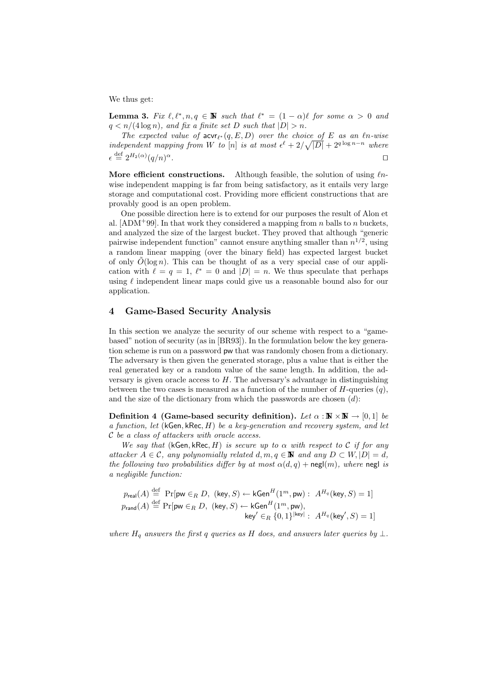We thus get:

**Lemma 3.** Fix  $\ell, \ell^*, n, q \in \mathbb{N}$  such that  $\ell^* = (1 - \alpha)\ell$  for some  $\alpha > 0$  and  $q \leq n/(4 \log n)$ , and fix a finite set D such that  $|D| > n$ .

The expected value of  $\texttt{acvr}_{\ell^*}(q, E, D)$  over the choice of E as an  $\ell^n$ -wise independent mapping from W to [n] is at most  $\epsilon^{\ell} + 2/\sqrt{|D|} + 2^{q \log n - n}$  where  $\epsilon \stackrel{\text{def}}{=} 2^{H_2(\alpha)}(q/n)$  $\alpha$ .

More efficient constructions. Although feasible, the solution of using  $\ell n$ wise independent mapping is far from being satisfactory, as it entails very large storage and computational cost. Providing more efficient constructions that are provably good is an open problem.

One possible direction here is to extend for our purposes the result of Alon et al. [ADM<sup>+</sup>99]. In that work they considered a mapping from n balls to n buckets, and analyzed the size of the largest bucket. They proved that although "generic pairwise independent function" cannot ensure anything smaller than  $n^{1/2}$ , using a random linear mapping (over the binary field) has expected largest bucket of only  $\tilde{O}(\log n)$ . This can be thought of as a very special case of our application with  $\ell = q = 1, \, \ell^* = 0$  and  $|D| = n$ . We thus speculate that perhaps using  $\ell$  independent linear maps could give us a reasonable bound also for our application.

# 4 Game-Based Security Analysis

In this section we analyze the security of our scheme with respect to a "gamebased" notion of security (as in [BR93]). In the formulation below the key generation scheme is run on a password pw that was randomly chosen from a dictionary. The adversary is then given the generated storage, plus a value that is either the real generated key or a random value of the same length. In addition, the adversary is given oracle access to  $H$ . The adversary's advantage in distinguishing between the two cases is measured as a function of the number of  $H$ -queries  $(q)$ , and the size of the dictionary from which the passwords are chosen  $(d)$ :

Definition 4 (Game-based security definition). Let  $\alpha : \mathbb{N} \times \mathbb{N} \to [0,1]$  be a function, let  $(kGen, kRec, H)$  be a key-generation and recovery system, and let C be a class of attackers with oracle access.

We say that (kGen, kRec, H) is secure up to  $\alpha$  with respect to C if for any attacker  $A \in \mathcal{C}$ , any polynomially related  $d, m, q \in \mathbb{N}$  and any  $D \subset W$ ,  $|D| = d$ , the following two probabilities differ by at most  $\alpha(d, q)$  + negl(m), where negl is a negligible function:

$$
p_{\text{real}}(A) \stackrel{\text{def}}{=} \Pr[\text{pw} \in_R D, (\text{key}, S) \leftarrow \text{kGen}^H(1^m, \text{pw}) : A^{H_q}(\text{key}, S) = 1]
$$
  

$$
p_{\text{rand}}(A) \stackrel{\text{def}}{=} \Pr[\text{pw} \in_R D, (\text{key}, S) \leftarrow \text{kGen}^H(1^m, \text{pw}),
$$
  

$$
\text{key}' \in_R \{0, 1\}^{|\text{key}|} : A^{H_q}(\text{key}', S) = 1]
$$

where  $H_q$  answers the first q queries as H does, and answers later queries by  $\perp$ .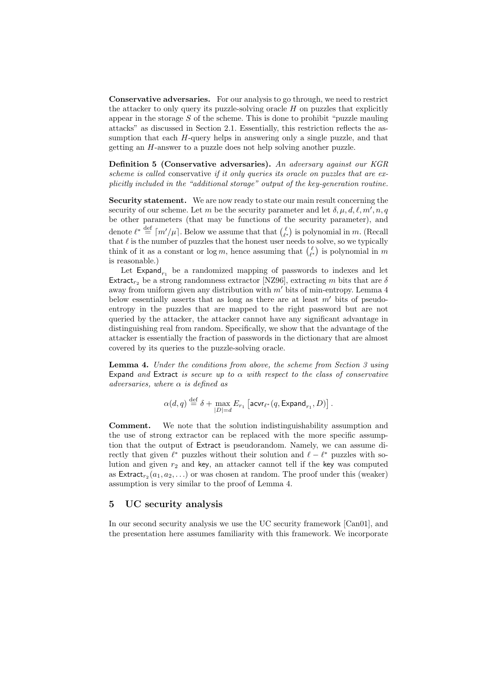Conservative adversaries. For our analysis to go through, we need to restrict the attacker to only query its puzzle-solving oracle  $H$  on puzzles that explicitly appear in the storage  $S$  of the scheme. This is done to prohibit "puzzle mauling" attacks" as discussed in Section 2.1. Essentially, this restriction reflects the assumption that each  $H$ -query helps in answering only a single puzzle, and that getting an H-answer to a puzzle does not help solving another puzzle.

Definition 5 (Conservative adversaries). An adversary against our KGR scheme is called conservative if it only queries its oracle on puzzles that are explicitly included in the "additional storage" output of the key-generation routine.

Security statement. We are now ready to state our main result concerning the security of our scheme. Let m be the security parameter and let  $\delta, \mu, d, \ell, m', n, q$ be other parameters (that may be functions of the security parameter), and denote  $\ell^* \stackrel{\text{def}}{=} \lceil m'/\mu \rceil$ . Below we assume that that  $\binom{\ell}{\ell^*}$  is polynomial in m. (Recall that  $\ell$  is the number of puzzles that the honest user needs to solve, so we typically think of it as a constant or  $\log m$ , hence assuming that  $\binom{\ell}{\ell^*}$  is polynomial in m is reasonable.)

Let  $\mathsf{Expand}_{r_1}$  be a randomized mapping of passwords to indexes and let Extract<sub>r<sub>2</sub></sub> be a strong randomness extractor [NZ96], extracting m bits that are δ away from uniform given any distribution with  $m'$  bits of min-entropy. Lemma 4 below essentially asserts that as long as there are at least  $m'$  bits of pseudoentropy in the puzzles that are mapped to the right password but are not queried by the attacker, the attacker cannot have any significant advantage in distinguishing real from random. Specifically, we show that the advantage of the attacker is essentially the fraction of passwords in the dictionary that are almost covered by its queries to the puzzle-solving oracle.

Lemma 4. Under the conditions from above, the scheme from Section 3 using Expand and Extract is secure up to  $\alpha$  with respect to the class of conservative adversaries, where  $\alpha$  is defined as

$$
\alpha(d,q) \stackrel{\mathrm{def}}{=} \delta + \max_{|D| = d} E_{r_1}\left[\mathsf{acvr}_{\ell^*}(q, \mathsf{Expand}_{r_1}, D)\right].
$$

Comment. We note that the solution indistinguishability assumption and the use of strong extractor can be replaced with the more specific assumption that the output of Extract is pseudorandom. Namely, we can assume directly that given  $\ell^*$  puzzles without their solution and  $\ell - \ell^*$  puzzles with solution and given  $r_2$  and key, an attacker cannot tell if the key was computed as  $\textsf{Extract}_{r_2}(a_1, a_2, \ldots)$  or was chosen at random. The proof under this (weaker) assumption is very similar to the proof of Lemma 4.

# 5 UC security analysis

In our second security analysis we use the UC security framework [Can01], and the presentation here assumes familiarity with this framework. We incorporate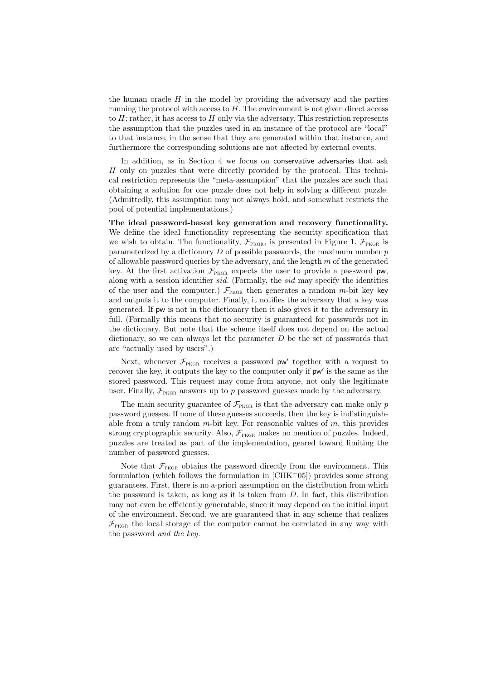the human oracle  $H$  in the model by providing the adversary and the parties running the protocol with access to  $H$ . The environment is not given direct access to  $H$ ; rather, it has access to  $H$  only via the adversary. This restriction represents the assumption that the puzzles used in an instance of the protocol are "local" to that instance, in the sense that they are generated within that instance, and furthermore the corresponding solutions are not affected by external events.

In addition, as in Section 4 we focus on conservative adversaries that ask H only on puzzles that were directly provided by the protocol. This technical restriction represents the "meta-assumption" that the puzzles are such that obtaining a solution for one puzzle does not help in solving a different puzzle. (Admittedly, this assumption may not always hold, and somewhat restricts the pool of potential implementations.)

The ideal password-based key generation and recovery functionality. We define the ideal functionality representing the security specification that we wish to obtain. The functionality,  $\mathcal{F}_{PKGR}$ , is presented in Figure 1.  $\mathcal{F}_{PKGR}$  is parameterized by a dictionary  $D$  of possible passwords, the maximum number  $p$ of allowable password queries by the adversary, and the length  $m$  of the generated key. At the first activation  $\mathcal{F}_{PKGR}$  expects the user to provide a password pw, along with a session identifier sid. (Formally, the sid may specify the identities of the user and the computer.)  $\mathcal{F}_{PKGR}$  then generates a random m-bit key key and outputs it to the computer. Finally, it notifies the adversary that a key was generated. If pw is not in the dictionary then it also gives it to the adversary in full. (Formally this means that no security is guaranteed for passwords not in the dictionary. But note that the scheme itself does not depend on the actual dictionary, so we can always let the parameter  $D$  be the set of passwords that are "actually used by users".)

Next, whenever  $\mathcal{F}_{PKGR}$  receives a password pw' together with a request to recover the key, it outputs the key to the computer only if  $pw'$  is the same as the stored password. This request may come from anyone, not only the legitimate user. Finally,  $\mathcal{F}_{PKGR}$  answers up to p password guesses made by the adversary.

The main security guarantee of  $\mathcal{F}_{PKGR}$  is that the adversary can make only p password guesses. If none of these guesses succeeds, then the key is indistinguishable from a truly random  $m$ -bit key. For reasonable values of  $m$ , this provides strong cryptographic security. Also,  $\mathcal{F}_{PKGR}$  makes no mention of puzzles. Indeed, puzzles are treated as part of the implementation, geared toward limiting the number of password guesses.

Note that  $\mathcal{F}_{PKGR}$  obtains the password directly from the environment. This formulation (which follows the formulation in  $[CHK<sup>+</sup>05]$ ) provides some strong guarantees. First, there is no a-priori assumption on the distribution from which the password is taken, as long as it is taken from  $D$ . In fact, this distribution may not even be efficiently generatable, since it may depend on the initial input of the environment. Second, we are guaranteed that in any scheme that realizes  $\mathcal{F}_{\text{PKGR}}$  the local storage of the computer cannot be correlated in any way with the password and the key.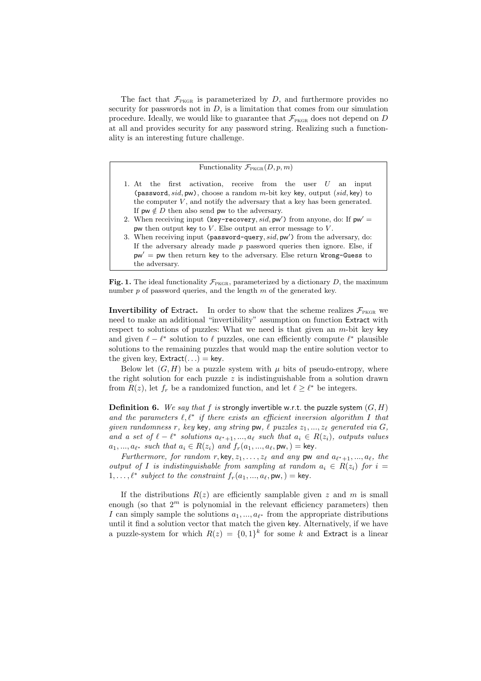The fact that  $\mathcal{F}_{PKGR}$  is parameterized by D, and furthermore provides no security for passwords not in  $D$ , is a limitation that comes from our simulation procedure. Ideally, we would like to guarantee that  $\mathcal{F}_{PKGR}$  does not depend on D at all and provides security for any password string. Realizing such a functionality is an interesting future challenge.

### Functionality  $\mathcal{F}_{PKGR}(D,p,m)$

- 1. At the first activation, receive from the user U an input (password, sid, pw), choose a random m-bit key key, output (sid, key) to the computer  $V$ , and notify the adversary that a key has been generated. If pw  $\notin D$  then also send pw to the adversary.
- 2. When receiving input (key-recovery,  $sid$ , pw') from anyone, do: If pw' = pw then output key to  $V$ . Else output an error message to  $V$ .
- 3. When receiving input (password-query,  $sid$ , pw') from the adversary, do: If the adversary already made  $p$  password queries then ignore. Else, if  $pw' = pw$  then return key to the adversary. Else return Wrong-Guess to the adversary.

Fig. 1. The ideal functionality  $\mathcal{F}_{PKGR}$ , parameterized by a dictionary D, the maximum number  $p$  of password queries, and the length  $m$  of the generated key.

**Invertibility of Extract.** In order to show that the scheme realizes  $\mathcal{F}_{PKGR}$  we need to make an additional "invertibility" assumption on function Extract with respect to solutions of puzzles: What we need is that given an  $m$ -bit key key and given  $\ell - \ell^*$  solution to  $\ell$  puzzles, one can efficiently compute  $\ell^*$  plausible solutions to the remaining puzzles that would map the entire solution vector to the given key,  $Extract(\ldots)=key$ .

Below let  $(G, H)$  be a puzzle system with  $\mu$  bits of pseudo-entropy, where the right solution for each puzzle  $z$  is indistinguishable from a solution drawn from  $R(z)$ , let  $f_r$  be a randomized function, and let  $\ell \geq \ell^*$  be integers.

**Definition 6.** We say that f is strongly invertible w.r.t. the puzzle system  $(G, H)$ and the parameters  $\ell, \ell^*$  if there exists an efficient inversion algorithm I that given randomness r, key key, any string pw,  $\ell$  puzzles  $z_1, ..., z_\ell$  generated via G, and a set of  $\ell - \ell^*$  solutions  $a_{\ell^*+1},..., a_{\ell}$  such that  $a_i \in R(z_i)$ , outputs values  $a_1, ..., a_{\ell^*}$  such that  $a_i \in R(z_i)$  and  $f_r(a_1, ..., a_{\ell}, \mathsf{pw},) = \mathsf{key}.$ 

Furthermore, for random r, key,  $z_1, \ldots, z_\ell$  and any pw and  $a_{\ell^*+1}, \ldots, a_\ell$ , the output of I is indistinguishable from sampling at random  $a_i \in R(z_i)$  for  $i =$  $1, \ldots, \ell^*$  subject to the constraint  $f_r(a_1, \ldots, a_\ell, \mathsf{pw},) = \mathsf{key}.$ 

If the distributions  $R(z)$  are efficiently samplable given z and m is small enough (so that  $2^m$  is polynomial in the relevant efficiency parameters) then I can simply sample the solutions  $a_1, ..., a_{\ell^*}$  from the appropriate distributions until it find a solution vector that match the given key. Alternatively, if we have a puzzle-system for which  $R(z) = \{0,1\}^k$  for some k and Extract is a linear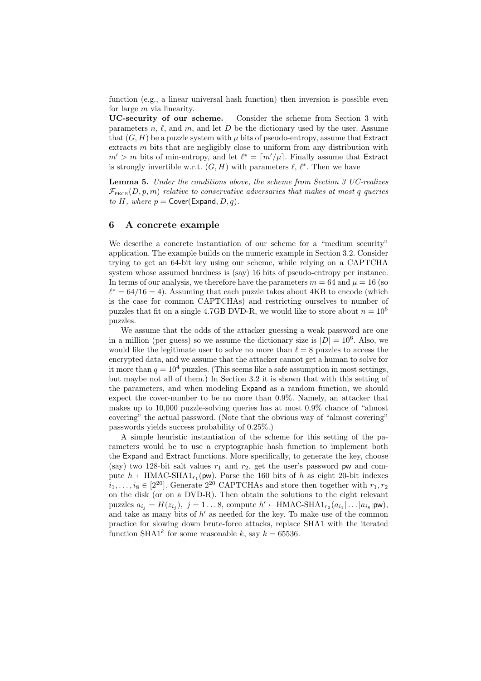function (e.g., a linear universal hash function) then inversion is possible even for large m via linearity.

UC-security of our scheme. Consider the scheme from Section 3 with parameters  $n, \ell$ , and  $m$ , and let D be the dictionary used by the user. Assume that  $(G, H)$  be a puzzle system with  $\mu$  bits of pseudo-entropy, assume that Extract extracts  $m$  bits that are negligibly close to uniform from any distribution with  $m' > m$  bits of min-entropy, and let  $\ell^* = \lceil m'/\mu \rceil$ . Finally assume that Extract is strongly invertible w.r.t.  $(G, H)$  with parameters  $\ell, \ell^*$ . Then we have

Lemma 5. Under the conditions above, the scheme from Section 3 UC-realizes  $\mathcal{F}_{\text{PKGR}}(D, p, m)$  relative to conservative adversaries that makes at most q queries to H, where  $p = \text{Cover}(\text{Expand}, D, q)$ .

# 6 A concrete example

We describe a concrete instantiation of our scheme for a "medium security" application. The example builds on the numeric example in Section 3.2. Consider trying to get an 64-bit key using our scheme, while relying on a CAPTCHA system whose assumed hardness is (say) 16 bits of pseudo-entropy per instance. In terms of our analysis, we therefore have the parameters  $m = 64$  and  $\mu = 16$  (so  $\ell^* = 64/16 = 4$ ). Assuming that each puzzle takes about 4KB to encode (which is the case for common CAPTCHAs) and restricting ourselves to number of puzzles that fit on a single 4.7GB DVD-R, we would like to store about  $n = 10^6$ puzzles.

We assume that the odds of the attacker guessing a weak password are one in a million (per guess) so we assume the dictionary size is  $|D| = 10^6$ . Also, we would like the legitimate user to solve no more than  $\ell = 8$  puzzles to access the encrypted data, and we assume that the attacker cannot get a human to solve for it more than  $q = 10^4$  puzzles. (This seems like a safe assumption in most settings, but maybe not all of them.) In Section 3.2 it is shown that with this setting of the parameters, and when modeling Expand as a random function, we should expect the cover-number to be no more than 0.9%. Namely, an attacker that makes up to 10,000 puzzle-solving queries has at most 0.9% chance of "almost covering" the actual password. (Note that the obvious way of "almost covering" passwords yields success probability of 0.25%.)

A simple heuristic instantiation of the scheme for this setting of the parameters would be to use a cryptographic hash function to implement both the Expand and Extract functions. More specifically, to generate the key, choose (say) two 128-bit salt values  $r_1$  and  $r_2$ , get the user's password pw and compute  $h \leftarrow \text{HMAC-SHA1}_{r_1}(\text{pw})$ . Parse the 160 bits of h as eight 20-bit indexes  $i_1, \ldots, i_8 \in [2^{20}]$ . Generate  $2^{20}$  CAPTCHAs and store then together with  $r_1, r_2$ on the disk (or on a DVD-R). Then obtain the solutions to the eight relevant puzzles  $a_{i_j} = H(z_{i_j}), j = 1...8$ , compute  $h' \leftarrow \text{HMAC-SHA1}_{r_2}(a_{i_1} | \dots | a_{i_8} | \text{pw}),$ and take as many bits of  $h'$  as needed for the key. To make use of the common practice for slowing down brute-force attacks, replace SHA1 with the iterated function SHA1<sup>k</sup> for some reasonable k, say  $k = 65536$ .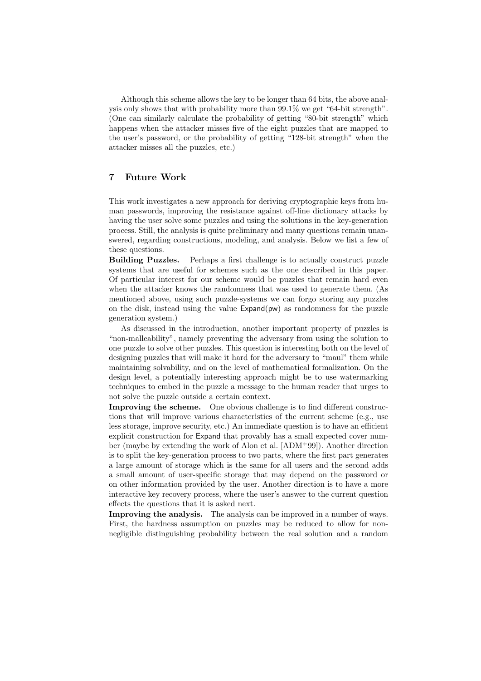Although this scheme allows the key to be longer than 64 bits, the above analysis only shows that with probability more than 99.1% we get "64-bit strength". (One can similarly calculate the probability of getting "80-bit strength" which happens when the attacker misses five of the eight puzzles that are mapped to the user's password, or the probability of getting "128-bit strength" when the attacker misses all the puzzles, etc.)

# 7 Future Work

This work investigates a new approach for deriving cryptographic keys from human passwords, improving the resistance against off-line dictionary attacks by having the user solve some puzzles and using the solutions in the key-generation process. Still, the analysis is quite preliminary and many questions remain unanswered, regarding constructions, modeling, and analysis. Below we list a few of these questions.

Building Puzzles. Perhaps a first challenge is to actually construct puzzle systems that are useful for schemes such as the one described in this paper. Of particular interest for our scheme would be puzzles that remain hard even when the attacker knows the randomness that was used to generate them. (As mentioned above, using such puzzle-systems we can forgo storing any puzzles on the disk, instead using the value  $Expand(pw)$  as randomness for the puzzle generation system.)

As discussed in the introduction, another important property of puzzles is "non-malleability", namely preventing the adversary from using the solution to one puzzle to solve other puzzles. This question is interesting both on the level of designing puzzles that will make it hard for the adversary to "maul" them while maintaining solvability, and on the level of mathematical formalization. On the design level, a potentially interesting approach might be to use watermarking techniques to embed in the puzzle a message to the human reader that urges to not solve the puzzle outside a certain context.

Improving the scheme. One obvious challenge is to find different constructions that will improve various characteristics of the current scheme (e.g., use less storage, improve security, etc.) An immediate question is to have an efficient explicit construction for Expand that provably has a small expected cover number (maybe by extending the work of Alon et al. [ADM<sup>+</sup>99]). Another direction is to split the key-generation process to two parts, where the first part generates a large amount of storage which is the same for all users and the second adds a small amount of user-specific storage that may depend on the password or on other information provided by the user. Another direction is to have a more interactive key recovery process, where the user's answer to the current question effects the questions that it is asked next.

Improving the analysis. The analysis can be improved in a number of ways. First, the hardness assumption on puzzles may be reduced to allow for nonnegligible distinguishing probability between the real solution and a random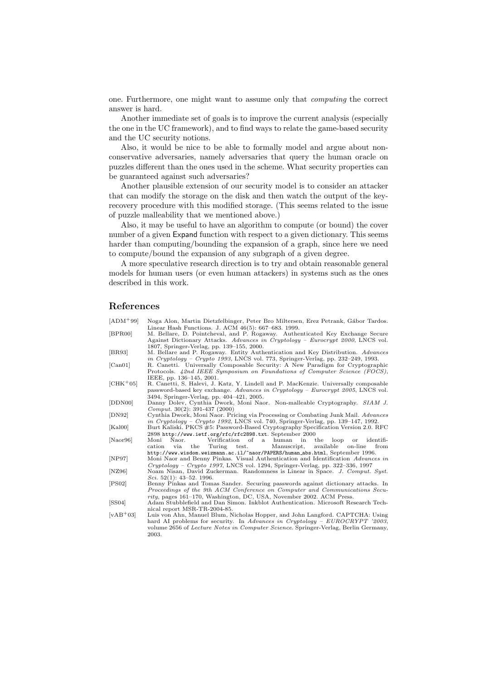one. Furthermore, one might want to assume only that computing the correct answer is hard.

Another immediate set of goals is to improve the current analysis (especially the one in the UC framework), and to find ways to relate the game-based security and the UC security notions.

Also, it would be nice to be able to formally model and argue about nonconservative adversaries, namely adversaries that query the human oracle on puzzles different than the ones used in the scheme. What security properties can be guaranteed against such adversaries?

Another plausible extension of our security model is to consider an attacker that can modify the storage on the disk and then watch the output of the keyrecovery procedure with this modified storage. (This seems related to the issue of puzzle malleability that we mentioned above.)

Also, it may be useful to have an algorithm to compute (or bound) the cover number of a given Expand function with respect to a given dictionary. This seems harder than computing/bounding the expansion of a graph, since here we need to compute/bound the expansion of any subgraph of a given degree.

A more speculative research direction is to try and obtain reasonable general models for human users (or even human attackers) in systems such as the ones described in this work.

# References

| $[ADM+99]$ | Noga Alon, Martin Dietzfelbinger, Peter Bro Miltersen, Erez Petrank, Gábor Tardos.               |
|------------|--------------------------------------------------------------------------------------------------|
|            | Linear Hash Functions. J. ACM 46(5): 667–683. 1999.                                              |
| [BPR00]    | M. Bellare, D. Pointcheval, and P. Rogaway. Authenticated Key Exchange Secure                    |
|            | Against Dictionary Attacks. Advances in Cryptology - Eurocrypt 2000, LNCS vol.                   |
|            | 1807, Springer-Verlag, pp. 139-155, 2000.                                                        |
| [BR93]     | M. Bellare and P. Rogaway. Entity Authentication and Key Distribution. Advances                  |
|            | in Cryptology – Crypto 1993, LNCS vol. 773, Springer-Verlag, pp. $232-249$ , 1993.               |
| [Can01]    | R. Canetti. Universally Composable Security: A New Paradigm for Cryptographic                    |
|            | Protocols. 42nd IEEE Symposium on Foundations of Computer Science (FOCS),                        |
|            | IEEE, pp. 136-145, 2001.                                                                         |
| $[CHK+05]$ | R. Canetti, S. Halevi, J. Katz, Y. Lindell and P. MacKenzie. Universally composable              |
|            | password-based key exchange. Advances in Cryptology – Eurocrypt 2005, LNCS vol.                  |
|            | 3494, Springer-Verlag, pp. 404-421, 2005.                                                        |
| [DDN00]    | Danny Dolev, Cynthia Dwork, Moni Naor. Non-malleable Cryptography. SIAM J.                       |
|            | $Comput. 30(2): 391-437 (2000)$                                                                  |
| [DN92]     | Cynthia Dwork, Moni Naor. Pricing via Processing or Combating Junk Mail. Advances                |
|            | in Cryptology – Crypto 1992, LNCS vol. 740, Springer-Verlag, pp. 139–147, 1992.                  |
| [Ka100]    | Burt Kaliski. PKCS #5: Password-Based Cryptography Specification Version 2.0. RFC                |
|            | 2898 http://www.ietf.org/rfc/rfc2898.txt. September 2000                                         |
| [Naor96]   | Moni<br>Verification<br>of<br>Naor.<br>human<br>the<br>identifi-<br>a<br>in<br>loop<br><b>or</b> |
|            | the<br>Turing<br>test.<br>Manuscript.<br>available<br>on-line<br>cation<br>via<br>from           |
|            | http://www.wisdom.weizmann.ac.il/~naor/PAPERS/human_abs.html. September 1996.                    |
| [NP97]     | Moni Naor and Benny Pinkas. Visual Authentication and Identification Advances in                 |
|            | $Cryptology - Crupto 1997$ , LNCS vol. 1294, Springer-Verlag, pp. 322–336, 1997                  |
| [NZ96]     | Noam Nisan, David Zuckerman. Randomness is Linear in Space. J. Comput. Syst.                     |
|            | Sci. 52(1): $43-52.$ 1996.                                                                       |
| [PS02]     | Benny Pinkas and Tomas Sander. Securing passwords against dictionary attacks. In                 |
|            | Proceedings of the 9th ACM Conference on Computer and Communications Secu-                       |
|            | $rity$ , pages 161–170, Washington, DC, USA, November 2002. ACM Press.                           |
| SS04       | Adam Stubblefield and Dan Simon. Inkblot Authentication. Microsoft Research Tech-                |
|            | nical report MSR-TR-2004-85.                                                                     |
| $[vAB+03]$ | Luis von Ahn, Manuel Blum, Nicholas Hopper, and John Langford. CAPTCHA: Using                    |
|            | hard AI problems for security. In Advances in Cryptology – $EUROCRYPT$ '2003,                    |
|            | volume 2656 of Lecture Notes in Computer Science. Springer-Verlag, Berlin Germany,               |
|            | 2003.                                                                                            |
|            |                                                                                                  |